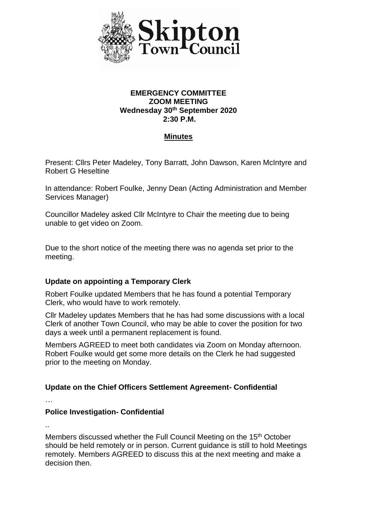

### **EMERGENCY COMMITTEE ZOOM MEETING Wednesday 30 th September 2020 2:30 P.M.**

# **Minutes**

Present: Cllrs Peter Madeley, Tony Barratt, John Dawson, Karen McIntyre and Robert G Heseltine

In attendance: Robert Foulke, Jenny Dean (Acting Administration and Member Services Manager)

Councillor Madeley asked Cllr McIntyre to Chair the meeting due to being unable to get video on Zoom.

Due to the short notice of the meeting there was no agenda set prior to the meeting.

# **Update on appointing a Temporary Clerk**

Robert Foulke updated Members that he has found a potential Temporary Clerk, who would have to work remotely.

Cllr Madeley updates Members that he has had some discussions with a local Clerk of another Town Council, who may be able to cover the position for two days a week until a permanent replacement is found.

Members AGREED to meet both candidates via Zoom on Monday afternoon. Robert Foulke would get some more details on the Clerk he had suggested prior to the meeting on Monday.

# **Update on the Chief Officers Settlement Agreement- Confidential**

…

# **Police Investigation- Confidential**

..

Members discussed whether the Full Council Meeting on the 15<sup>th</sup> October should be held remotely or in person. Current guidance is still to hold Meetings remotely. Members AGREED to discuss this at the next meeting and make a decision then.